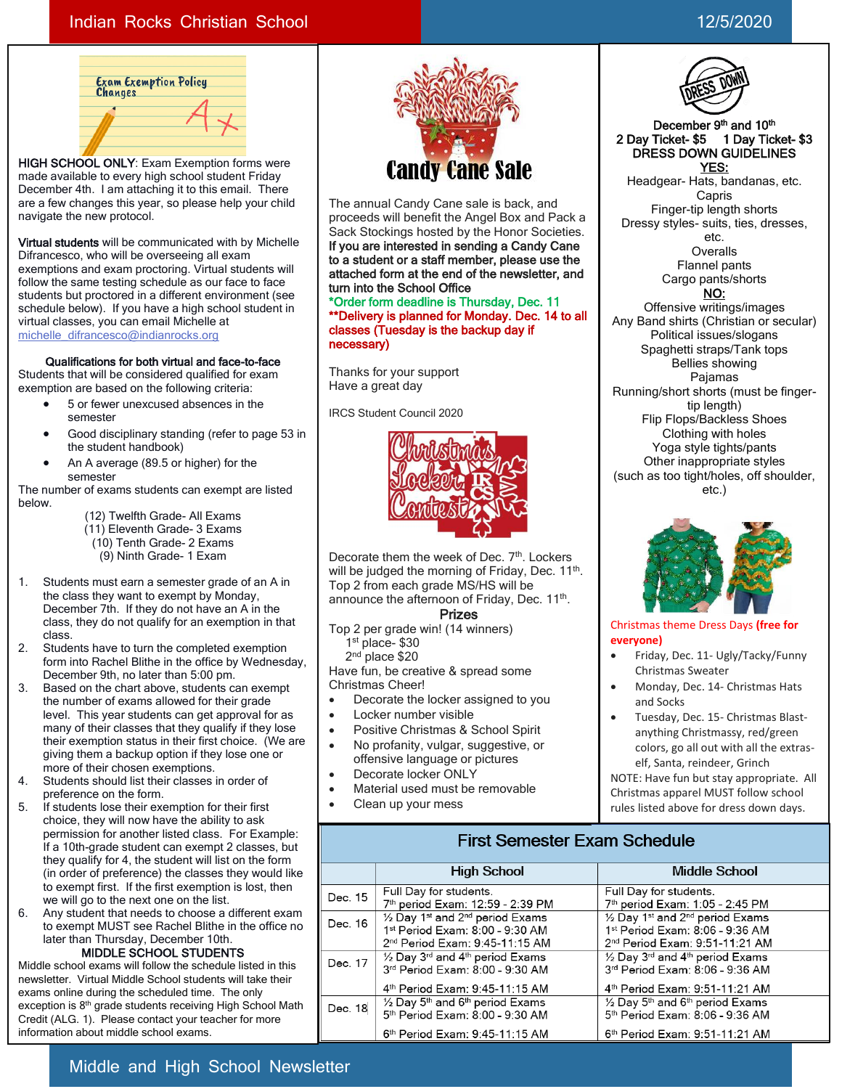### Indian Rocks Christian School 12/5/2020



HIGH SCHOOL ONLY: Exam Exemption forms were made available to every high school student Friday December 4th. I am attaching it to this email. There are a few changes this year, so please help your child navigate the new protocol.

Virtual students will be communicated with by Michelle Difrancesco, who will be overseeing all exam exemptions and exam proctoring. Virtual students will follow the same testing schedule as our face to face students but proctored in a different environment (see schedule below). If you have a high school student in virtual classes, you can email Michelle at [michelle\\_difrancesco@indianrocks.org](mailto:michelle_difrancesco@indianrocks.org)

### Qualifications for both virtual and face-to-face

Students that will be considered qualified for exam exemption are based on the following criteria:

- 5 or fewer unexcused absences in the semester
- Good disciplinary standing (refer to page 53 in the student handbook)
- An A average (89.5 or higher) for the semester

The number of exams students can exempt are listed below.

- (12) Twelfth Grade- All Exams
- (11) Eleventh Grade- 3 Exams
- (10) Tenth Grade- 2 Exams
- (9) Ninth Grade- 1 Exam
- 1. Students must earn a semester grade of an A in the class they want to exempt by Monday, December 7th. If they do not have an A in the class, they do not qualify for an exemption in that class.
- 2. Students have to turn the completed exemption form into Rachel Blithe in the office by Wednesday, December 9th, no later than 5:00 pm.
- 3. Based on the chart above, students can exempt the number of exams allowed for their grade level. This year students can get approval for as many of their classes that they qualify if they lose their exemption status in their first choice. (We are giving them a backup option if they lose one or more of their chosen exemptions.
- 4. Students should list their classes in order of preference on the form.
- 5. If students lose their exemption for their first choice, they will now have the ability to ask permission for another listed class. For Example: If a 10th-grade student can exempt 2 classes, but they qualify for 4, the student will list on the form (in order of preference) the classes they would like to exempt first. If the first exemption is lost, then we will go to the next one on the list.
- 6. Any student that needs to choose a different exam to exempt MUST see Rachel Blithe in the office no later than Thursday, December 10th. MIDDLE SCHOOL STUDENTS

Middle school exams will follow the schedule listed in this newsletter. Virtual Middle School students will take their exams online during the scheduled time. The only exception is 8<sup>th</sup> grade students receiving High School Math Credit (ALG. 1). Please contact your teacher for more information about middle school exams.



The annual Candy Cane sale is back, and proceeds will benefit the Angel Box and Pack a Sack Stockings hosted by the Honor Societies. If you are interested in sending a Candy Cane to a student or a staff member, please use the attached form at the end of the newsletter, and turn into the School Office \*Order form deadline is Thursday, Dec. 11 \*\*Delivery is planned for Monday. Dec. 14 to all

classes (Tuesday is the backup day if necessary)

Thanks for your support Have a great day

IRCS Student Council 2020



Decorate them the week of Dec. 7<sup>th</sup>. Lockers will be judged the morning of Friday, Dec. 11<sup>th</sup>. Top 2 from each grade MS/HS will be announce the afternoon of Friday, Dec. 11<sup>th</sup>.

Prizes

Top 2 per grade win! (14 winners) 1 st place- \$30 2<sup>nd</sup> place \$20

Have fun, be creative & spread some Christmas Cheer!

- Decorate the locker assigned to you
- Locker number visible
- Positive Christmas & School Spirit
- No profanity, vulgar, suggestive, or offensive language or pictures
- Decorate locker ONLY
- Material used must be removable • Clean up your mess

#### December 9<sup>th</sup> and 10<sup>th</sup> 2 Day Ticket- \$5 1 Day Ticket- \$3 DRESS DOWN GUIDELINES YES:

Headgear- Hats, bandanas, etc. Capris Finger-tip length shorts Dressy styles- suits, ties, dresses, etc. **Overalls** Flannel pants Cargo pants/shorts

NO:

Offensive writings/images Any Band shirts (Christian or secular) Political issues/slogans Spaghetti straps/Tank tops Bellies showing Pajamas Running/short shorts (must be fingertip length) Flip Flops/Backless Shoes Clothing with holes Yoga style tights/pants Other inappropriate styles (such as too tight/holes, off shoulder, etc.)



### Christmas theme Dress Days **(free for everyone)**

- Friday, Dec. 11- Ugly/Tacky/Funny Christmas Sweater
- Monday, Dec. 14- Christmas Hats and Socks
- Tuesday, Dec. 15- Christmas Blastanything Christmassy, red/green colors, go all out with all the extraself, Santa, reindeer, Grinch

NOTE: Have fun but stay appropriate. All Christmas apparel MUST follow school rules listed above for dress down days.

### **First Semester Exam Schedule**

|         | <b>High School</b>                                                                                                                                  | Middle School                                                                                                                                       |  |  |  |  |
|---------|-----------------------------------------------------------------------------------------------------------------------------------------------------|-----------------------------------------------------------------------------------------------------------------------------------------------------|--|--|--|--|
| Dec. 15 | Full Day for students.<br>7th period Exam: 12:59 - 2:39 PM                                                                                          | Full Day for students.<br>7th period Exam: 1:05 - 2:45 PM                                                                                           |  |  |  |  |
| Dec. 16 | $\frac{1}{2}$ Day 1 <sup>st</sup> and 2 <sup>nd</sup> period Exams<br>1st Period Exam: 8:00 - 9:30 AM<br>2 <sup>nd</sup> Period Exam: 9:45-11:15 AM | $\frac{1}{2}$ Day 1st and 2 <sup>nd</sup> period Exams<br>1st Period Exam: 8:06 - 9:36 AM<br>2 <sup>nd</sup> Period Exam: 9:51-11:21 AM             |  |  |  |  |
| Dec. 17 | $\frac{1}{2}$ Day 3 <sup>rd</sup> and 4 <sup>th</sup> period Exams<br>3rd Period Exam: 8:00 - 9:30 AM<br>4 <sup>th</sup> Period Exam: 9:45-11:15 AM | $\frac{1}{2}$ Day 3 <sup>rd</sup> and 4 <sup>th</sup> period Exams<br>3rd Period Exam: 8:06 - 9:36 AM<br>4 <sup>th</sup> Period Exam: 9:51-11:21 AM |  |  |  |  |
| Dec. 18 | $\frac{1}{2}$ Day 5 <sup>th</sup> and 6 <sup>th</sup> period Exams<br>5th Period Exam: 8:00 - 9:30 AM<br>6th Period Exam: 9:45-11:15 AM             | $\frac{1}{2}$ Day 5 <sup>th</sup> and 6 <sup>th</sup> period Exams<br>5th Period Exam: 8:06 - 9:36 AM<br>6 <sup>th</sup> Period Exam: 9:51-11:21 AM |  |  |  |  |

## Middle and High School Newsletter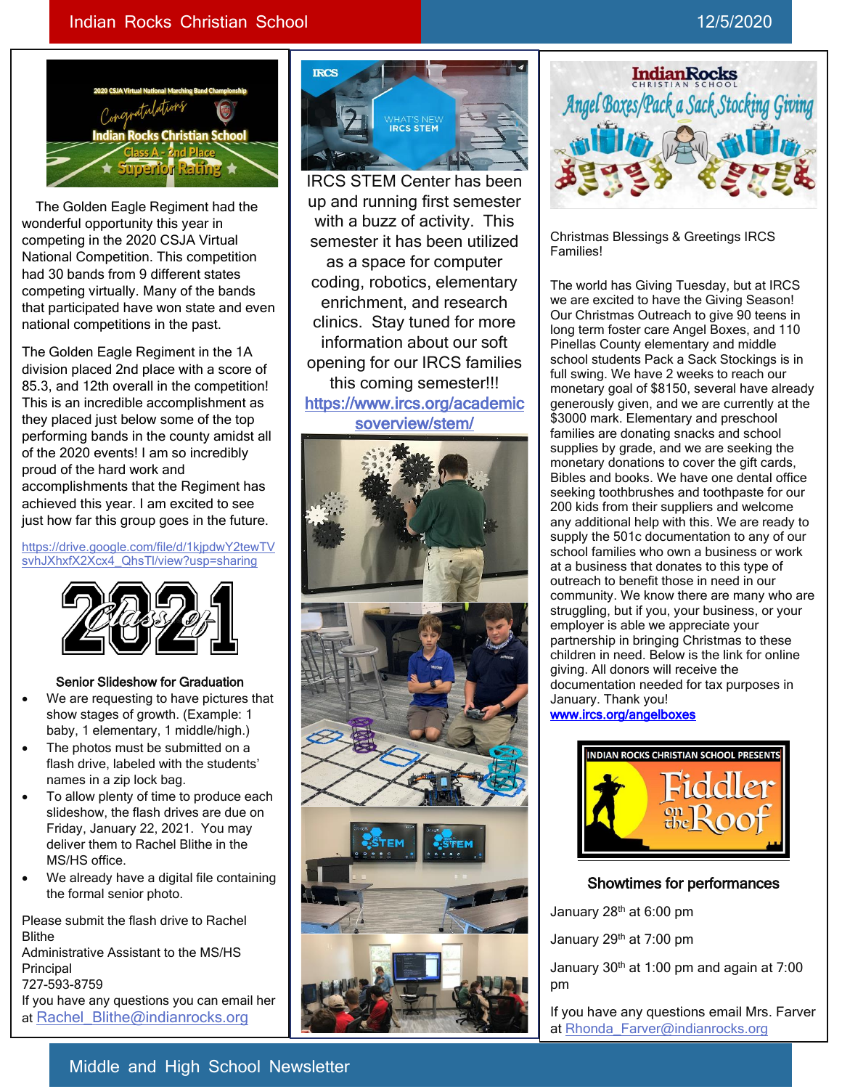### Indian Rocks Christian School 12/5/2020



 The Golden Eagle Regiment had the wonderful opportunity this year in competing in the 2020 CSJA Virtual National Competition. This competition had 30 bands from 9 different states competing virtually. Many of the bands that participated have won state and even national competitions in the past.

The Golden Eagle Regiment in the 1A division placed 2nd place with a score of 85.3, and 12th overall in the competition! This is an incredible accomplishment as they placed just below some of the top performing bands in the county amidst all of the 2020 events! I am so incredibly proud of the hard work and accomplishments that the Regiment has achieved this year. I am excited to see just how far this group goes in the future.

[https://drive.google.com/file/d/1kjpdwY2tewTV](https://drive.google.com/file/d/1kjpdwY2tewTVsvhJXhxfX2Xcx4_QhsTl/view?usp=sharing) [svhJXhxfX2Xcx4\\_QhsTl/view?usp=sharing](https://drive.google.com/file/d/1kjpdwY2tewTVsvhJXhxfX2Xcx4_QhsTl/view?usp=sharing)



### Senior Slideshow for Graduation

- We are requesting to have pictures that show stages of growth. (Example: 1 baby, 1 elementary, 1 middle/high.)
- The photos must be submitted on a flash drive, labeled with the students' names in a zip lock bag.
- To allow plenty of time to produce each slideshow, the flash drives are due on Friday, January 22, 2021. You may deliver them to Rachel Blithe in the MS/HS office.
- We already have a digital file containing the formal senior photo.

Please submit the flash drive to Rachel Blithe Administrative Assistant to the MS/HS Principal 727-593-8759 If you have any questions you can email her at Rachel Blithe@indianrocks.org



IRCS STEM Center has been up and running first semester with a buzz of activity. This semester it has been utilized as a space for computer coding, robotics, elementary enrichment, and research clinics. Stay tuned for more information about our soft opening for our IRCS families this coming semester!!! [https://www.ircs.org/academic](https://www.ircs.org/academicsoverview/stem/) [soverview/stem/](https://www.ircs.org/academicsoverview/stem/) 





Christmas Blessings & Greetings IRCS Families!

The world has Giving Tuesday, but at IRCS we are excited to have the Giving Season! Our Christmas Outreach to give 90 teens in long term foster care Angel Boxes, and 110 Pinellas County elementary and middle school students Pack a Sack Stockings is in full swing. We have 2 weeks to reach our monetary goal of \$8150, several have already generously given, and we are currently at the \$3000 mark. Elementary and preschool families are donating snacks and school supplies by grade, and we are seeking the monetary donations to cover the gift cards, Bibles and books. We have one dental office seeking toothbrushes and toothpaste for our 200 kids from their suppliers and welcome any additional help with this. We are ready to supply the 501c documentation to any of our school families who own a business or work at a business that donates to this type of outreach to benefit those in need in our community. We know there are many who are struggling, but if you, your business, or your employer is able we appreciate your partnership in bringing Christmas to these children in need. Below is the link for online giving. All donors will receive the documentation needed for tax purposes in January. Thank you! [www.ircs.org/angelboxes](https://linkprotect.cudasvc.com/url?a=http%3a%2f%2fwww.ircs.org%2fangelboxes&c=E,1,BXA1hhfuqAdKPnY4eQPNs4Snl4c8Ie2AfCAl8skxE7GOhk3JpeO5DLe0XWYeeYvwu0nyrrafBfPD2jTNYMNNfvceFVVDD9OpT9TTUlB_mJXfMG_NZNTs3g,,&typo=1)



### Showtimes for performances

January 28th at 6:00 pm

January 29<sup>th</sup> at 7:00 pm

 $\overline{a}$ 

January 30<sup>th</sup> at 1:00 pm and again at 7:00 pm

If you have any questions email Mrs. Farver at [Rhonda\\_Farver@indianrocks.org](mailto:Rhonda_Farver@indianrocks.org)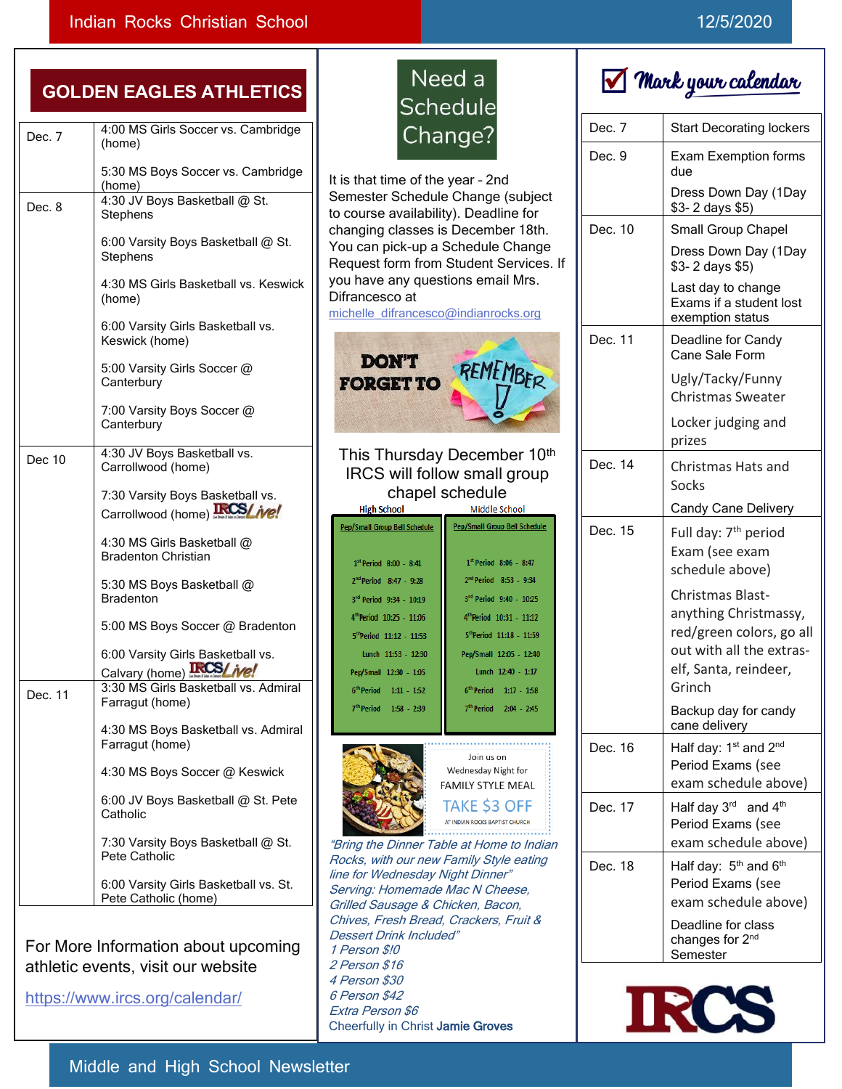# GOLD

| Dec. 7  | 4:00 MS Girls Soccer vs. Cambridge<br>(home)                              |  |
|---------|---------------------------------------------------------------------------|--|
|         | 5:30 MS Boys Soccer vs. Cambridge<br>(home)                               |  |
| Dec. 8  | 4:30 JV Boys Basketball @ St.<br>Stephens                                 |  |
|         | 6:00 Varsity Boys Basketball @ St.<br>Stephens                            |  |
|         | 4:30 MS Girls Basketball vs. Keswick<br>(home)                            |  |
|         | 6:00 Varsity Girls Basketball vs.<br>Keswick (home)                       |  |
|         | 5:00 Varsity Girls Soccer @<br>Canterbury                                 |  |
|         | 7:00 Varsity Boys Soccer @<br>Canterbury                                  |  |
| Dec 10  | 4:30 JV Boys Basketball vs.<br>Carrollwood (home)                         |  |
|         | 7:30 Varsity Boys Basketball vs.<br>Carrollwood (home)                    |  |
|         | 4:30 MS Girls Basketball @<br><b>Bradenton Christian</b>                  |  |
|         | 5:30 MS Boys Basketball @<br><b>Bradenton</b>                             |  |
|         | 5:00 MS Boys Soccer @ Bradenton                                           |  |
|         | 6:00 Varsity Girls Basketball vs.<br><b>IRCS/</b> ive!<br>Calvary (home): |  |
| Dec. 11 | 3:30 MS Girls Basketball vs. Admiral<br>Farragut (home)                   |  |
|         | 4:30 MS Boys Basketball vs. Admiral<br>Farragut (home)                    |  |
|         | 4:30 MS Boys Soccer @ Keswick                                             |  |
|         | 6:00 JV Boys Basketball @ St. Pete<br>Catholic                            |  |
|         | 7:30 Varsity Boys Basketball @ St.<br>Pete Catholic                       |  |
|         | 6:00 Varsity Girls Basketball vs. St.<br>Pete Catholic (home)             |  |

For More Information about upcoming athletic events, visit our website

<https://www.ircs.org/calendar/>

# Need a Schedule Change?

It is that time of the year – 2nd Semester Schedule Change (subject to course availability). Deadline for changing classes is December 18th. You can pick-up a Schedule Change Request form from Student Services. If you have any questions email Mrs. Difrancesco at [michelle\\_difrancesco@indianrocks.org](mailto:michelle_difrancesco@indianrocks.org) **DON'T FORGET TO** This Thursday December 10<sup>th</sup> IRCS will follow small group chapel schedule **High School** Middle School Pep/Small Group Bell Schedule Pep/Small Group Bell Schedule  $1^{st}$  Period 8:06 - 8:47  $1^{st}$  Period 8:00 - 8:41  $2^{nd}$ Period 8:47 - 9:28 2<sup>nd</sup> Period 8:53 - 9:34 3<sup>rd</sup> Period 9:40 - 10:25 3<sup>rd</sup> Period 9:34 - 10:19 4<sup>th</sup>Period 10:25 - 11:06 4<sup>th</sup>Period 10:31 - 11:12 5<sup>th</sup>Period 11:12 - 11:53 5<sup>th</sup>Period 11:18 - 11:59 Lunch  $11:53 - 12:30$ Pep/Small 12:05 - 12:40 Lunch  $12:40 - 1:17$ Pep/Small 12:30 - 1:05  $6<sup>th</sup> Period 1:11 - 152$  $6<sup>th</sup> Period$  1:17 - 1:58



7<sup>th</sup> Period 1:58 - 2:39

loin us on Wednesday Night for **FAMILY STYLE MEAL TAKE \$3 OFF** AT INDIAN ROCKS BAPTIST CHURCH

7<sup>th</sup> Period 2:04 - 2:45

"Bring the Dinner Table at Home to Indian Rocks, with our new Family Style eating line for Wednesday Night Dinner" Serving: Homemade Mac N Cheese, Grilled Sausage & Chicken, Bacon, Chives, Fresh Bread, Crackers, Fruit & Dessert Drink Included" 1 Person \$!0 2 Person \$16 4 Person \$30 6 Person \$42 Extra Person \$6 Cheerfully in Christ Jamie Groves



| Dec. 7  | <b>Start Decorating lockers</b>                                                                                                      |  |
|---------|--------------------------------------------------------------------------------------------------------------------------------------|--|
| Dec. 9  | <b>Exam Exemption forms</b><br>due                                                                                                   |  |
|         | Dress Down Day (1Day<br>\$3- 2 days \$5)                                                                                             |  |
| Dec. 10 | Small Group Chapel                                                                                                                   |  |
|         | Dress Down Day (1Day<br>\$3-2 days \$5)                                                                                              |  |
|         | Last day to change<br>Exams if a student lost<br>exemption status                                                                    |  |
| Dec. 11 | Deadline for Candy<br>Cane Sale Form                                                                                                 |  |
|         | Ugly/Tacky/Funny<br><b>Christmas Sweater</b>                                                                                         |  |
|         | Locker judging and<br>prizes                                                                                                         |  |
| Dec. 14 | Christmas Hats and<br>Socks                                                                                                          |  |
|         | <b>Candy Cane Delivery</b>                                                                                                           |  |
| Dec. 15 | Full day: 7 <sup>th</sup> period<br>Exam (see exam<br>schedule above)                                                                |  |
|         | Christmas Blast-<br>anything Christmassy,<br>red/green colors, go all<br>out with all the extras-<br>elf, Santa, reindeer,<br>Grinch |  |
|         | Backup day for candy<br>cane delivery                                                                                                |  |
| Dec. 16 | Half day: 1st and 2nd<br>Period Exams (see<br>exam schedule above)                                                                   |  |
| Dec. 17 | Half day 3 <sup>rd</sup> and 4 <sup>th</sup><br>Period Exams (see<br>exam schedule above)                                            |  |
| Dec. 18 | Half day: 5 <sup>th</sup> and 6 <sup>th</sup><br>Period Exams (see<br>exam schedule above)                                           |  |
|         | Deadline for class<br>changes for 2 <sup>nd</sup><br>Semester                                                                        |  |



Middle and High School Newsletter